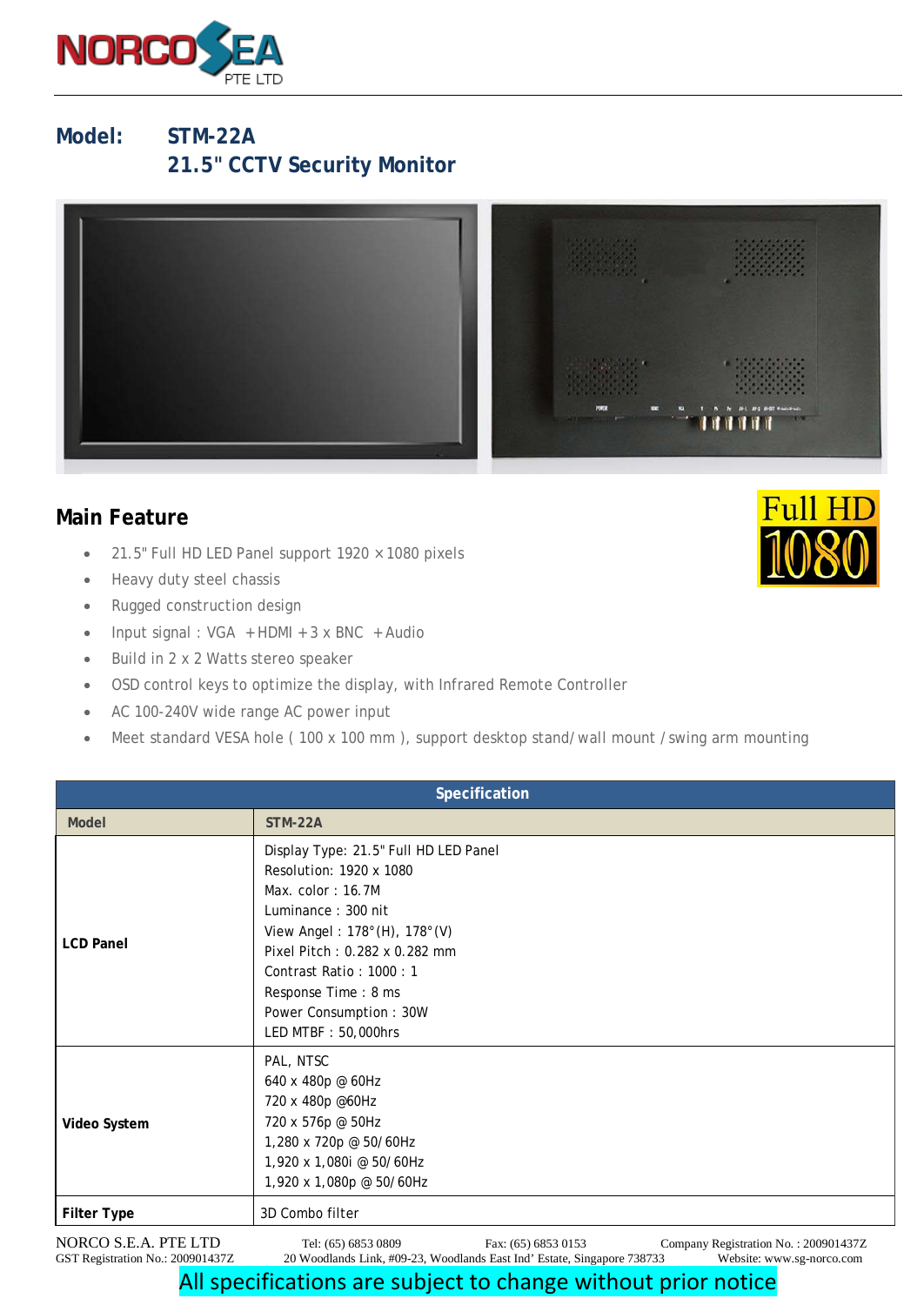

## **Model: STM-22A 21.5" CCTV Security Monitor**



## **Main Feature**

- 21.5" Full HD LED Panel support 1920 × 1080 pixels
- Heavy duty steel chassis
- Rugged construction design
- Input signal : VGA + HDMI + 3 x BNC + Audio
- Build in 2 x 2 Watts stereo speaker
- OSD control keys to optimize the display, with Infrared Remote Controller
- AC 100-240V wide range AC power input
- Meet standard VESA hole (100 x 100 mm), support desktop stand/wall mount /swing arm mounting

| Specification        |                                                                                                                                                                                                                                                                                   |                     |                                      |
|----------------------|-----------------------------------------------------------------------------------------------------------------------------------------------------------------------------------------------------------------------------------------------------------------------------------|---------------------|--------------------------------------|
| <b>Model</b>         | STM-22A                                                                                                                                                                                                                                                                           |                     |                                      |
| <b>LCD Panel</b>     | Display Type: 21.5" Full HD LED Panel<br>Resolution: 1920 x 1080<br>Max. $color: 16.7M$<br>Luminance: 300 nit<br>View Angel: 178°(H), 178°(V)<br>Pixel Pitch: 0.282 x 0.282 mm<br>Contrast Ratio: 1000: 1<br>Response Time: 8 ms<br>Power Consumption: 30W<br>LED MTBF: 50,000hrs |                     |                                      |
| Video System         | PAL, NTSC<br>640 x 480p @ 60Hz<br>720 x 480p @60Hz<br>720 x 576p @ 50Hz<br>1,280 x 720p @ 50/60Hz<br>1,920 x 1,080i @ 50/60Hz<br>1,920 x 1,080p @ 50/60Hz                                                                                                                         |                     |                                      |
| <b>Filter Type</b>   | 3D Combo filter                                                                                                                                                                                                                                                                   |                     |                                      |
| NORCO S.E.A. PTE LTD | Tel: (65) 6853 0809                                                                                                                                                                                                                                                               | Fax: (65) 6853 0153 | Company Registration No.: 200901437Z |

GST Registration No.: 200901437Z 20 Woodlands Link, #09-23, Woodlands East Ind' Estate, Singapore 738733 Website: www.sg-norco.com

## All specifications are subject to change without prior notice